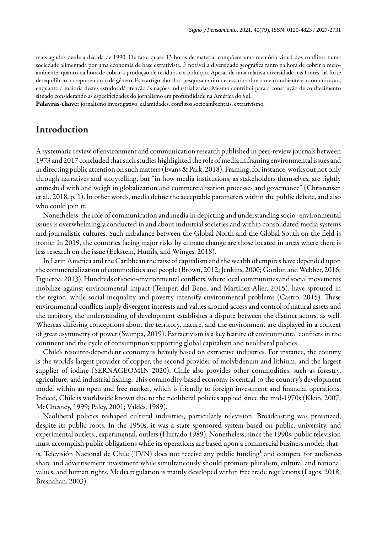mais agudos desde a década de 1990. De fato, quase 13 horas de material compõem uma memória visual dos conflitos numa sociedade alimentada por uma economia de base extrativista. É notável a diversidade geográfica tanto na hora de cobrir o meioambiente, quanto na hora de cobrir a produção de resíduos e a poluição. Apesar de uma relativa diversidade nas fontes, há forte desequilíbrio na representação de género. Este artigo aborda a pesquisa muito necessária sobre o meio ambiente e a comunicação, enquanto a maioria destes estudos dá atenção às nações industrializadas. Mesmo contribui para a construção de conhecimento situado considerando as especificidades do jornalismo em profundidade na América do Sul.

Palavras-chave: jornalismo investigativo, calamidades, conflitos socioambientais, extrativismo.

# Introduction

A systematic review of environment and communication research published in peer-review journals between 1973 and 2017 concluded that such studies highlighted the role of media in framing environmental issues and in directing public attention on such matters ([Evans & Park, 2018\)](#page-11-0). Framing, for instance, works out not only through narratives and storytelling, but "in how media institutions, as stakeholders themselves, are tightly enmeshed with and weigh in globalization and commercialization processes and governance" [\(Christensen](#page-11-1) [et al., 2018, p. 1\)](#page-11-1). In other words, media define the acceptable parameters within the public debate, and also who could join it.

Nonetheless, the role of communication and media in depicting and understanding socio- environmental issues is overwhelmingly conducted in and about industrial societies and within consolidated media systems and journalistic cultures. Such unbalance between the Global North and the Global South on the field is ironic: In 2019, the countries facing major risks by climate change are those located in areas where there is less research on the issue (Eckstein, Hutfils, and Winges, 2018).

In Latin America and the Caribbean the raise of capitalism and the wealth of empires have depended upon the commercialization of commodities and people [\(Brown, 2012;](#page-11-3) [Jenkins, 2000](#page-12-0); [Gordon and Webber, 2016;](#page-12-1) [Figueroa, 2013](#page-11-4)). Hundreds of socio-environmental conflicts, where local communities and social movements mobilize against environmental impact ([Temper, del Bene, and Martinez-Alier, 2015\)](#page-13-0), have sprouted in the region, while social inequality and poverty intensify environmental problems (Castro, 2015). These environmental conflicts imply divergent interests and values around access and control of natural assets and the territory, the understanding of development establishes a dispute between the distinct actors, as well. Whereas differing conceptions about the territory, nature, and the environment are displayed in a context of great asymmetry of power ([Svampa, 2019\)](#page-13-1). Extractivism is a key feature of environmental conflicts in the continent and the cycle of consumption supporting global capitalism and neoliberal policies.

Chile's resource-dependent economy is heavily based on extractive industries. For instance, the country is the world's largest provider of copper, the second provider of molybdenum and lithium, and the largest supplier of iodine ([SERNAGEOMIN 2020](#page-13-2)). Chile also provides other commodities, such as forestry, agriculture, and industrial fishing. This commodity-based economy is central to the country's development model within an open and free market, which is friendly to foreign investment and financial operations. Indeed, Chile is worldwide known due to the neoliberal policies applied since the mid-1970s [\(Klein, 2007;](#page-12-2) [McChesney, 1999;](#page-12-3) [Paley, 2001](#page-13-3); [Valdés, 1989\)](#page-14-0).

Neoliberal policies reshaped cultural industries, particularly television. Broadcasting was privatized, despite its public roots. In the 1950s, it was a state sponsored system based on public, university, and experimental outlets., experimental, outlets [\(Hurtado 1989\)](#page-12-4). Nonetheless, since the 1990s, public television must accomplish public obligations while its operations are based upon a commercial business model; that is, Televisión Nacional de Chile (TVN) does not receive any public funding $^{\rm l}$  and compete for audiences share and advertisement investment while simultaneously should promote pluralism, cultural and national values, and human rights. Media regulation is mainly developed within free trade regulations ([Lagos](#page-12-5), [2018;](#page-12-6) [Bresnahan, 2003](#page-11-5)).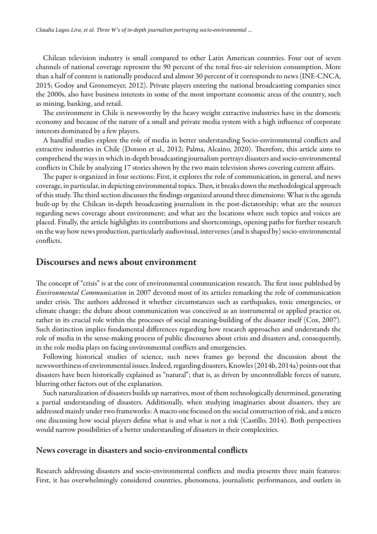Chilean television industry is small compared to other Latin American countries. Four out of seven channels of national coverage represent the 90 percent of the total free-air television consumption. More than a half of content is nationally produced and almost 30 percent of it corresponds to news [\(INE-CNCA,](#page-12-7) [2015](#page-12-7); [Godoy and Gronemeyer, 2012\)](#page-12-8). Private players entering the national broadcasting companies since the 2000s, also have business interests in some of the most important economic areas of the country, such as mining, banking, and retail.

The environment in Chile is newsworthy by the heavy weight extractive industries have in the domestic economy and because of the nature of a small and private media system with a high influence of corporate interests dominated by a few players.

A handful studies explore the role of media in better understanding Socio-environmental conflicts and extractive industries in Chile [\(Dotson et al., 2012](#page-11-6); [Palma, Alcaíno, 2020\)](#page-13-4). Therefore, this article aims to comprehend the ways in which in-depth broadcasting journalism portrays disasters and socio-environmental conflicts in Chile by analyzing 17 stories shown by the two main television shows covering current affairs.

The paper is organized in four sections: First, it explores the role of communication, in general, and news coverage, in particular, in depicting environmental topics. Then, it breaks down the methodological approach of this study. The third section discusses the findings organized around three dimensions: What is the agenda built-up by the Chilean in-depth broadcasting journalism in the post-dictatorship; what are the sources regarding news coverage about environment; and what are the locations where such topics and voices are placed. Finally, the article highlights its contributions and shortcomings, opening paths for further research on the way how news production, particularly audiovisual, intervenes (and is shaped by) socio-environmental conflicts.

## Discourses and news about environment

The concept of "crisis" is at the core of environmental communication research. The first issue published by *Environmental Communication* in 2007 devoted most of its articles remarking the role of communication under crisis. The authors addressed it whether circumstances such as earthquakes, toxic emergencies, or climate change; the debate about communication was conceived as an instrumental or applied practice or, rather in its crucial role within the processes of social meaning-building of the disaster itself ([Cox, 2007](#page-11-7)). Such distinction implies fundamental differences regarding how research approaches and understands the role of media in the sense-making process of public discourses about crisis and disasters and, consequently, in the role media plays on facing environmental conflicts and emergencies.

Following historical studies of science, such news frames go beyond the discussion about the newsworthiness of environmental issues. Indeed, regarding disasters, Knowles ([2014b,](#page-12-9) [2014a](#page-12-10)) points out that disasters have been historically explained as "natural"; that is, as driven by uncontrollable forces of nature, blurring other factors out of the explanation.

Such naturalization of disasters builds up narratives, most of them technologically determined, generating a partial understanding of disasters. Additionally, when studying imaginaries about disasters, they are addressed mainly under two frameworks: A macro one focused on the social construction of risk, and a micro one discussing how social players define what is and what is not a risk [\(Castillo, 2014\)](#page-11-8). Both perspectives would narrow possibilities of a better understanding of disasters in their complexities.

#### News coverage in disasters and socio-environmental conflicts

Research addressing disasters and socio-environmental conflicts and media presents three main features: First, it has overwhelmingly considered countries, phenomena, journalistic performances, and outlets in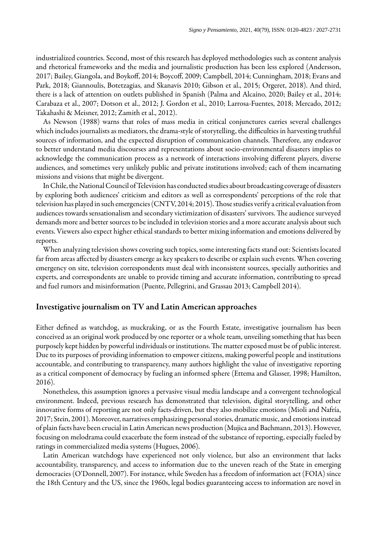industrialized countries. Second, most of this research has deployed methodologies such as content analysis and rhetorical frameworks and the media and journalistic production has been less explored ([Andersson,](#page-10-0) [2017](#page-10-0); [Bailey, Giangola, and Boykoff, 2014;](#page-11-9) [Boycoff, 2009](#page-11-10); [Campbell, 2014;](#page-11-11) [Cunningham, 2018;](#page-11-12) [Evans and](#page-11-0) [Park, 2018;](#page-11-0) [Giannoulis, Botetzagias, and Skanavis 2010](#page-12-11); [Gibson et al., 2015](#page-12-12); [Orgeret, 2018](#page-13-5)). And third, there is a lack of attention on outlets published in Spanish ([Palma and Alcaíno, 2020](#page-13-4); [Bailey et al., 2014;](#page-11-9) [Carabaza et al., 2007;](#page-11-13) [Dotson et al., 2012](#page-11-6); [J. Gordon et al., 2010](#page-12-13); [Larrosa-Fuentes, 2018](#page-12-14); [Mercado, 2012;](#page-12-15) [Takahashi & Meisner, 2012](#page-13-6); [Zamith et al., 2012](#page-14-2)).

As Newson [\(1988\)](#page-13-7) warns that roles of mass media in critical conjunctures carries several challenges which includes journalists as mediators, the drama-style of storytelling, the difficulties in harvesting truthful sources of information, and the expected disruption of communication channels. Therefore, any endeavor to better understand media discourses and representations about socio-environmental disasters implies to acknowledge the communication process as a network of interactions involving different players, diverse audiences, and sometimes very unlikely public and private institutions involved; each of them incarnating missions and visions that might be divergent.

In Chile, the National Council of Television has conducted studies about broadcasting coverage of disasters by exploring both audiences' criticism and editors as well as correspondents' perceptions of the role that television has played in such emergencies ([CNTV, 2014;](#page-11-14) [2015\)](#page-11-15). Those studies verify a critical evaluation from audiences towards sensationalism and secondary victimization of disasters' survivors. The audience surveyed demands more and better sources to be included in television stories and a more accurate analysis about such events. Viewers also expect higher ethical standards to better mixing information and emotions delivered by reports.

When analyzing television shows covering such topics, some interesting facts stand out: Scientists located far from areas affected by disasters emerge as key speakers to describe or explain such events. When covering emergency on site, television correspondents must deal with inconsistent sources, specially authorities and experts, and correspondents are unable to provide timing and accurate information, contributing to spread and fuel rumors and misinformation ([Puente, Pellegrini, and Grassau 2013;](#page-13-8) [Campbell 2014\)](#page-11-11).

#### Investigative journalism on TV and Latin American approaches

Either defined as watchdog, as muckraking, or as the Fourth Estate, investigative journalism has been conceived as an original work produced by one reporter or a whole team, unveiling something that has been purposely kept hidden by powerful individuals or institutions. The matter exposed must be of public interest. Due to its purposes of providing information to empower citizens, making powerful people and institutions accountable, and contributing to transparency, many authors highlight the value of investigative reporting as a critical component of democracy by fueling an informed sphere ([Ettema and Glasser, 1998](#page-11-16); [Hamilton,](#page-12-16) [2016](#page-12-16)).

Nonetheless, this assumption ignores a pervasive visual media landscape and a convergent technological environment. Indeed, previous research has demonstrated that television, digital storytelling, and other innovative forms of reporting are not only facts-driven, but they also mobilize emotions [\(Mioli and Nafría,](#page-12-17) [2017](#page-12-17); [Stein, 2001\)](#page-13-9). Moreover, narratives emphasizing personal stories, dramatic music, and emotions instead of plain facts have been crucial in Latin American news production [\(Mujica and Bachmann, 2013\)](#page-12-18). However, focusing on melodrama could exacerbate the form instead of the substance of reporting, especially fueled by ratings in commercialized media systems ([Hugues, 2006](#page-12-19)).

Latin American watchdogs have experienced not only violence, but also an environment that lacks accountability, transparency, and access to information due to the uneven reach of the State in emerging democracies [\(O'Donnell, 2007](#page-13-10)). For instance, while Sweden has a freedom of information act (FOIA) since the 18th Century and the US, since the 1960s, legal bodies guaranteeing access to information are novel in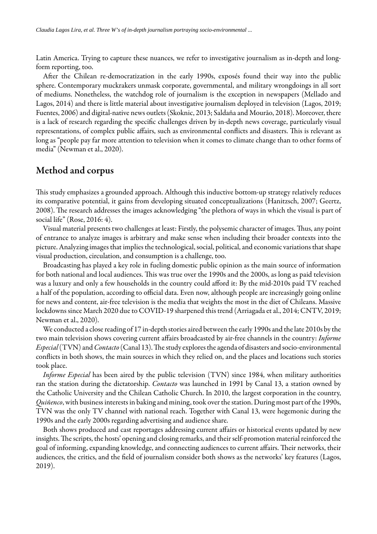Latin America. Trying to capture these nuances, we refer to investigative journalism as in-depth and longform reporting, too.

After the Chilean re-democratization in the early 1990s, exposés found their way into the public sphere. Contemporary muckrakers unmask corporate, governmental, and military wrongdoings in all sort of mediums. Nonetheless, the watchdog role of journalism is the exception in newspapers [\(Mellado and](#page-12-20) [Lagos, 2014\)](#page-12-20) and there is little material about investigative journalism deployed in television ([Lagos, 2019;](#page-12-5) [Fuentes, 2006\)](#page-11-17) and digital-native news outlets [\(Skoknic, 2013;](#page-13-11) [Saldaña and Mourão, 2018](#page-13-12)). Moreover, there is a lack of research regarding the specific challenges driven by in-depth news coverage, particularly visual representations, of complex public affairs, such as environmental conflicts and disasters. This is relevant as long as "people pay far more attention to television when it comes to climate change than to other forms of media" ([Newman et al., 2020](#page-13-13)).

# Method and corpus

This study emphasizes a grounded approach. Although this inductive bottom-up strategy relatively reduces its comparative potential, it gains from developing situated conceptualizations ([Hanitzsch, 2007;](#page-12-21) [Geertz,](#page-12-22) [2008](#page-12-22)). The research addresses the images acknowledging "the plethora of ways in which the visual is part of social life" ([Rose, 2016: 4\)](#page-13-14).

Visual material presents two challenges at least: Firstly, the polysemic character of images. Thus, any point of entrance to analyze images is arbitrary and make sense when including their broader contexts into the picture. Analyzing images that implies the technological, social, political, and economic variations that shape visual production, circulation, and consumption is a challenge, too.

Broadcasting has played a key role in fueling domestic public opinion as the main source of information for both national and local audiences. This was true over the 1990s and the 2000s, as long as paid television was a luxury and only a few households in the country could afford it: By the mid-2010s paid TV reached a half of the population, according to official data. Even now, although people are increasingly going online for news and content, air-free television is the media that weights the most in the diet of Chileans. Massive lockdowns since March 2020 due to COVID-19 sharpened this trend ([Arriagada et al., 2014](#page-11-18)[; CNTV, 2019;](#page-11-19) [Newman et al., 2020\)](#page-13-13).

We conducted a close reading of 17 in-depth stories aired between the early 1990s and the late 2010s by the two main television shows covering current affairs broadcasted by air-free channels in the country: *Informe Especial* (TVN) and *Contacto* (Canal 13). The study explores the agenda of disasters and socio-environmental conflicts in both shows, the main sources in which they relied on, and the places and locations such stories took place.

*Informe Especial* has been aired by the public television (TVN) since 1984, when military authorities ran the station during the dictatorship. *Contacto* was launched in 1991 by Canal 13, a station owned by the Catholic University and the Chilean Catholic Church. In 2010, the largest corporation in the country, *Quiñenco*, with business interests in baking and mining, took over the station. During most part of the 1990s, TVN was the only TV channel with national reach. Together with Canal 13, were hegemonic during the 1990s and the early 2000s regarding advertising and audience share.

Both shows produced and cast reportages addressing current affairs or historical events updated by new insights. The scripts, the hosts' opening and closing remarks, and their self-promotion material reinforced the goal of informing, expanding knowledge, and connecting audiences to current affairs. Their networks, their audiences, the critics, and the field of journalism consider both shows as the networks' key features ([Lagos,](#page-12-5) [2019](#page-12-5)).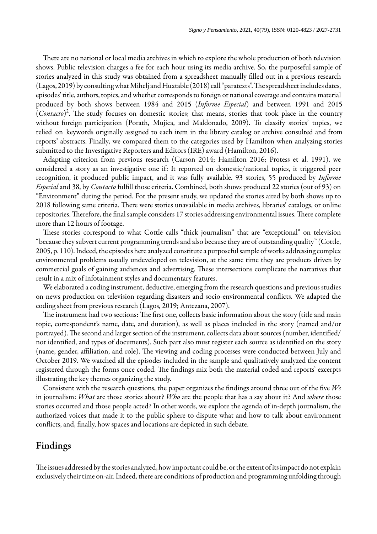There are no national or local media archives in which to explore the whole production of both television shows. Public television charges a fee for each hour using its media archive. So, the purposeful sample of stories analyzed in this study was obtained from a spreadsheet manually filled out in a previous research  $(Lagos, 2019)$  $(Lagos, 2019)$  by consulting what Mihelj and Huxtable  $(2018)$  $(2018)$  $(2018)$  call "paratexts". The spreadsheet includes dates, episodes' title, authors, topics, and whether corresponds to foreign or national coverage and contains material produced by both shows between 1984 and 2015 (*Informe Especial*) and between 1991 and 2015 (Contacto)<sup>[2](#page-14-3)</sup>. The study focuses on domestic stories; that means, stories that took place in the country without foreign participation [\(Porath, Mujica, and Maldonado, 2009\)](#page-13-15). To classify stories' topics, we relied on keywords originally assigned to each item in the library catalog or archive consulted and from reports' abstracts. Finally, we compared them to the categories used by Hamilton when analyzing stories submitted to the Investigative Reporters and Editors (IRE) award [\(Hamilton, 2016\)](#page-12-16).

Adapting criterion from previous research ([Carson 2014;](#page-11-20) [Hamilton 2016;](#page-12-16) [Protess et al. 1991\)](#page-13-16), we considered a story as an investigative one if: It reported on domestic/national topics, it triggered peer recognition, it produced public impact, and it was fully available. 93 stories, 55 produced by *Informe Especial* and 38, by *Contacto* fulll those criteria. Combined, both shows produced 22 stories (out of 93) on "Environment" during the period. For the present study, we updated the stories aired by both shows up to 2018 following same criteria. There were stories unavailable in media archives, libraries' catalogs, or online repositories. Therefore, the final sample considers 17 stories addressing environmental issues. There complete more than 12 hours of footage.

These stories correspond to what Cottle calls "thick journalism" that are "exceptional" on television "because they subvert current programming trends and also because they are of outstanding quality" ([Cottle,](#page-11-21) [2005, p. 110\)](#page-11-21). Indeed, the episodes here analyzed constitute a purposeful sample of works addressing complex environmental problems usually undeveloped on television, at the same time they are products driven by commercial goals of gaining audiences and advertising. These intersections complicate the narratives that result in a mix of infotainment styles and documentary features.

We elaborated a coding instrument, deductive, emerging from the research questions and previous studies on news production on television regarding disasters and socio-environmental conflicts. We adapted the coding sheet from previous research ([Lagos, 2019](#page-12-5); [Antezana, 2007](#page-10-1)).

The instrument had two sections: The first one, collects basic information about the story (title and main topic, correspondent's name, date, and duration), as well as places included in the story (named and/or portrayed). The second and larger section of the instrument, collects data about sources (number, identified/ not identified, and types of documents). Such part also must register each source as identified on the story (name, gender, affiliation, and role). The viewing and coding processes were conducted between July and October 2019. We watched all the episodes included in the sample and qualitatively analyzed the content registered through the forms once coded. The findings mix both the material coded and reports' excerpts illustrating the key themes organizing the study.

Consistent with the research questions, the paper organizes the findings around three out of the five *Ws* in journalism: *What* are those stories about? *Who* are the people that has a say about it? And *where* those stories occurred and those people acted? In other words, we explore the agenda of in-depth journalism, the authorized voices that made it to the public sphere to dispute what and how to talk about environment conflicts, and, finally, how spaces and locations are depicted in such debate.

# Findings

The issues addressed by the stories analyzed, how important could be, or the extent of its impact do not explain exclusively their time on-air. Indeed, there are conditions of production and programming unfolding through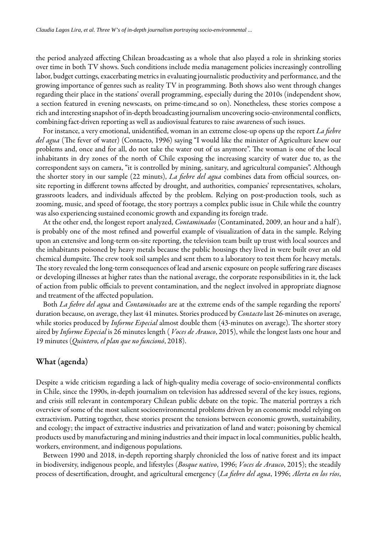the period analyzed affecting Chilean broadcasting as a whole that also played a role in shrinking stories over time in both TV shows. Such conditions include media management policies increasingly controlling labor, budget cuttings, exacerbating metrics in evaluating journalistic productivity and performance, and the growing importance of genres such as reality TV in programming. Both shows also went through changes regarding their place in the stations' overall programming, especially during the 2010s (independent show, a section featured in evening newscasts, on prime-time,and so on). Nonetheless, these stories compose a rich and interesting snapshot of in-depth broadcasting journalism uncovering socio-environmental conflicts, combining fact-driven reporting as well as audiovisual features to raise awareness of such issues.

For instance, a very emotional, unidentified, woman in an extreme close-up opens up the report *La fiebre del agua* (The fever of water) (Contacto, 1996) saying "I would like the minister of Agriculture knew our problems and, once and for all, do not take the water out of us anymore". The woman is one of the local inhabitants in dry zones of the north of Chile exposing the increasing scarcity of water due to, as the correspondent says on camera, "it is controlled by mining, sanitary, and agricultural companies". Although the shorter story in our sample (22 minuts), *La fiebre del agua* combines data from official sources, onsite reporting in different towns affected by drought, and authorities, companies' representatives, scholars, grassroots leaders, and individuals affected by the problem. Relying on post-production tools, such as zooming, music, and speed of footage, the story portrays a complex public issue in Chile while the country was also experiencing sustained economic growth and expanding its foreign trade.

At the other end, the longest report analyzed, *Contaminados* (Contaminated, 2009, an hour and a half ), is probably one of the most refined and powerful example of visualization of data in the sample. Relying upon an extensive and long-term on-site reporting, the television team built up trust with local sources and the inhabitants poisoned by heavy metals because the public housings they lived in were built over an old chemical dumpsite. The crew took soil samples and sent them to a laboratory to test them for heavy metals. The story revealed the long-term consequences of lead and arsenic exposure on people suffering rare diseases or developing illnesses at higher rates than the national average, the corporate responsibilities in it, the lack of action from public officials to prevent contamination, and the neglect involved in appropriate diagnose and treatment of the affected population.

Both *La fiebre del agua* and *Contaminados* are at the extreme ends of the sample regarding the reports' duration because, on average, they last 41 minutes. Stories produced by *Contacto* last 26-minutes on average, while stories produced by *Informe Especial* almost double them (43-minutes on average). The shorter story aired by *Informe Especial* is 26 minutes length ( *Voces de Arauco*, 2015), while the longest lasts one hour and 19 minutes (*Quintero, el plan que no funcionó*, 2018).

### What (agenda)

Despite a wide criticism regarding a lack of high-quality media coverage of socio-environmental conflicts in Chile, since the 1990s, in-depth journalism on television has addressed several of the key issues, regions, and crisis still relevant in contemporary Chilean public debate on the topic. The material portrays a rich overview of some of the most salient socioenvironmental problems driven by an economic model relying on extractivism. Putting together, these stories present the tensions between economic growth, sustainability, and ecology; the impact of extractive industries and privatization of land and water; poisoning by chemical products used by manufacturing and mining industries and their impact in local communities, public health, workers, environment, and indigenous populations.

Between 1990 and 2018, in-depth reporting sharply chronicled the loss of native forest and its impact in biodiversity, indigenous people, and lifestyles (*Bosque nativo*, 1996; *Voces de Arauco*, 2015); the steadily process of desertification, drought, and agricultural emergency (*La fiebre del agua*, 1996; *Alerta en los ríos*,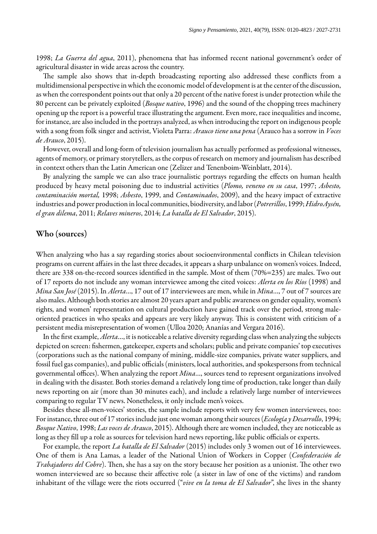1998; *La Guerra del agua*, 2011), phenomena that has informed recent national government's order of agricultural disaster in wide areas across the country.

The sample also shows that in-depth broadcasting reporting also addressed these conflicts from a multidimensional perspective in which the economic model of development is at the center of the discussion, as when the correspondent points out that only a 20 percent of the native forest is under protection while the 80 percent can be privately exploited (*Bosque nativo*, 1996) and the sound of the chopping trees machinery opening up the report is a powerful trace illustrating the argument. Even more, race inequalities and income, for instance, are also included in the portrays analyzed, as when introducing the report on indigenous people with a song from folk singer and activist, Violeta Parra: *Arauco tiene una pena* (Arauco has a sorrow in *Voces de Arauco*, 2015).

However, overall and long-form of television journalism has actually performed as professional witnesses, agents of memory, or primary storytellers, as the corpus of research on memory and journalism has described in context others than the Latin American one [\(Zelizer and Tenenboim-Weinblatt, 2014\)](#page-14-4).

By analyzing the sample we can also trace journalistic portrays regarding the effects on human health produced by heavy metal poisoning due to industrial activities (*Plomo, veneno en su casa*, 1997; *Asbesto, contaminación mortal,* 1998; *Asbesto*, 1999, and *Contaminados*, 2009), and the heavy impact of extractive industries and power production in local communities, biodiversity, and labor (*Potrerillos*, 1999; *HidroAysén, el gran dilema*, 2011; *Relaves mineros*, 2014; *La batalla de El Salvador*, 2015).

### Who (sources)

When analyzing who has a say regarding stories about socioenvironmental conflicts in Chilean television programs on current affairs in the last three decades, it appears a sharp unbalance on women's voices. Indeed, there are 338 on-the-record sources identified in the sample. Most of them  $(70\%=235)$  are males. Two out of 17 reports do not include any woman interviewee among the cited voices: *Alerta en los Ríos* (1998) and *Mina San José* (2015). In *Alerta*…, 17 out of 17 interviewees are men, while in *Mina*…, 7 out of 7 sources are also males. Although both stories are almost 20 years apart and public awareness on gender equality, women's rights, and women' representation on cultural production have gained track over the period, strong maleoriented practices in who speaks and appears are very likely anyway. This is consistent with criticism of a persistent media misrepresentation of women ([Ulloa 2020](#page-14-5); [Ananías and Vergara 2016](#page-10-2)).

In the first example, *Alerta*…, it is noticeable a relative diversity regarding class when analyzing the subjects depicted on screen: fishermen, gatekeeper, experts and scholars; public and private companies' top executives (corporations such as the national company of mining, middle-size companies, private water suppliers, and fossil fuel gas companies), and public officials (ministers, local authorities, and spokespersons from technical governmental offices). When analyzing the report *Mina*…, sources tend to represent organizations involved in dealing with the disaster. Both stories demand a relatively long time of production, take longer than daily news reporting on air (more than 30 minutes each), and include a relatively large number of interviewees comparing to regular TV news. Nonetheless, it only include men's voices.

Besides these all-men-voices' stories, the sample include reports with very few women interviewees, too: For instance, three out of 17 stories include just one woman among their sources (*Ecología y Desarrollo*, 1994; *Bosque Nativo*, 1998; *Las voces de Arauco*, 2015). Although there are women included, they are noticeable as long as they fill up a role as sources for television hard news reporting, like public officials or experts.

For example, the report *La batalla de El Salvador* (2015) includes only 3 women out of 16 interviewees. One of them is Ana Lamas, a leader of the National Union of Workers in Copper (*Confederación de Trabajadores del Cobre*). Then, she has a say on the story because her position as a unionist. The other two women interviewed are so because their affective role (a sister in law of one of the victims) and random inhabitant of the village were the riots occurred ("*vive en la toma de El Salvador*", she lives in the shanty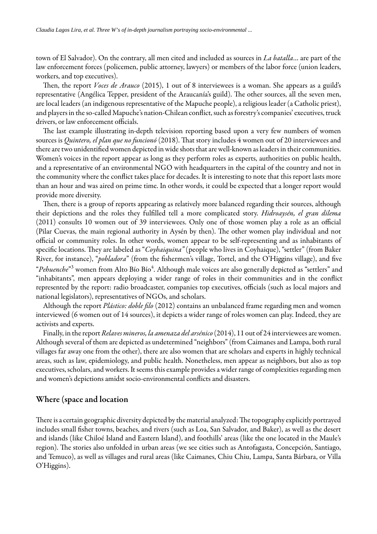town of El Salvador). On the contrary, all men cited and included as sources in *La batalla*… are part of the law enforcement forces (policemen, public attorney, lawyers) or members of the labor force (union leaders, workers, and top executives).

Then, the report *Voces de Arauco* (2015), 1 out of 8 interviewees is a woman. She appears as a guild's representative (Angélica Tepper, president of the Araucanía's guild). The other sources, all the seven men, are local leaders (an indigenous representative of the Mapuche people), a religious leader (a Catholic priest), and players in the so-called Mapuche's nation-Chilean conflict, such as forestry's companies' executives, truck drivers, or law enforcement officials.

The last example illustrating in-depth television reporting based upon a very few numbers of women sources is *Quintero, el plan que no funcionó* (2018). That story includes 4 women out of 20 interviewees and there are two unidentified women depicted in wide shots that are well-known as leaders in their communities. Women's voices in the report appear as long as they perform roles as experts, authorities on public health, and a representative of an environmental NGO with headquarters in the capital of the country and not in the community where the conflict takes place for decades. It is interesting to note that this report lasts more than an hour and was aired on prime time. In other words, it could be expected that a longer report would provide more diversity.

Then, there is a group of reports appearing as relatively more balanced regarding their sources, although their depictions and the roles they fullled tell a more complicated story. *Hidroaysén, el gran dilema*  (2011) consults 10 women out of 39 interviewees. Only one of those women play a role as an official (Pilar Cuevas, the main regional authority in Aysén by then). The other women play individual and not official or community roles. In other words, women appear to be self-representing and as inhabitants of specific locations. They are labeled as "*Coyhaiquina*" (people who lives in Coyhaique), "settler" (from Baker River, for instance), "*pobladora*" (from the fishermen's village, Tortel, and the O'Higgins village), and five "*Pehuenche*"<sup>[3](#page-14-6)</sup> women from Alto Bío Bío<sup>[4](#page-14-7)</sup>. Although male voices are also generally depicted as "settlers" and "inhabitants", men appears deploying a wider range of roles in their communities and in the conflict represented by the report: radio broadcaster, companies top executives, officials (such as local majors and national legislators), representatives of NGOs, and scholars.

Although the report *Plástico: doble filo* (2012) contains an unbalanced frame regarding men and women interviewed (6 women out of 14 sources), it depicts a wider range of roles women can play. Indeed, they are activists and experts.

Finally, in the report *Relaves mineros, la amenaza del arsénico* (2014), 11 out of 24 interviewees are women. Although several of them are depicted as undetermined "neighbors" (from Caimanes and Lampa, both rural villages far away one from the other), there are also women that are scholars and experts in highly technical areas, such as law, epidemiology, and public health. Nonetheless, men appear as neighbors, but also as top executives, scholars, and workers. It seems this example provides a wider range of complexities regarding men and women's depictions amidst socio-environmental conflicts and disasters.

### Where (space and location

There is a certain geographic diversity depicted by the material analyzed: The topography explicitly portrayed includes small fisher towns, beaches, and rivers (such as Loa, San Salvador, and Baker), as well as the desert and islands (like Chiloé Island and Eastern Island), and foothills' areas (like the one located in the Maule's region). The stories also unfolded in urban areas (we see cities such as Antofagasta, Concepción, Santiago, and Temuco), as well as villages and rural areas (like Caimanes, Chiu Chiu, Lampa, Santa Bárbara, or Villa O'Higgins).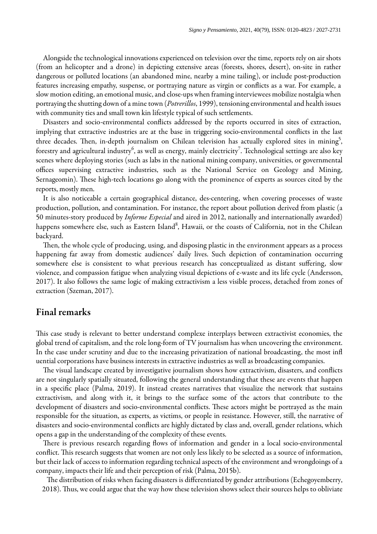Alongside the technological innovations experienced on television over the time, reports rely on air shots (from an helicopter and a drone) in depicting extensive areas (forests, shores, desert), on-site in rather dangerous or polluted locations (an abandoned mine, nearby a mine tailing), or include post-production features increasing empathy, suspense, or portraying nature as virgin or conflicts as a war. For example, a slow motion editing, an emotional music, and close-ups when framing interviewees mobilize nostalgia when portraying the shutting down of a mine town (*Potrerillos*, 1999), tensioning environmental and health issues with community ties and small town kin lifestyle typical of such settlements.

Disasters and socio-environmental conflicts addressed by the reports occurred in sites of extraction, implying that extractive industries are at the base in triggering socio-environmental conflicts in the last three decades. Then, in-depth journalism on Chilean television has actually explored sites in mining<sup>[5](#page-14-8)</sup>, forestry and agricultural industry $^6$  $^6$ , as well as energy, mainly electricity $^7$  $^7$ . Technological settings are also key scenes where deploying stories (such as labs in the national mining company, universities, or governmental offices supervising extractive industries, such as the National Service on Geology and Mining, Sernageomin). These high-tech locations go along with the prominence of experts as sources cited by the reports, mostly men.

It is also noticeable a certain geographical distance, des-centering, when covering processes of waste production, pollution, and contamination. For instance, the report about pollution derived from plastic (a 50 minutes-story produced by *Informe Especial* and aired in 2012, nationally and internationally awarded) happens somewhere else, such as Eastern Island<sup>[8](#page-14-11)</sup>, Hawaii, or the coasts of California, not in the Chilean backyard.

Then, the whole cycle of producing, using, and disposing plastic in the environment appears as a process happening far away from domestic audiences' daily lives. Such depiction of contamination occurring somewhere else is consistent to what previous research has conceptualized as distant suffering, slow violence, [and compassion fatigue when analyzing visual depictions of e-waste and its life cycle \(Andersson,](#page-10-0)  2017). It also follows the same logic of making extractivism a less visible process, detached from zones of extraction [\(Szeman, 2017\)](#page-13-17).

## Final remarks

This case study is relevant to better understand complexe interplays between extractivist economies, the global trend of capitalism, and the role long-form of TV journalism has when uncovering the environment. In the case under scrutiny and due to the increasing privatization of national broadcasting, the most infl uential corporations have business interests in extractive industries as well as broadcasting companies.

The visual landscape created by investigative journalism shows how extractivism, disasters, and conflicts are not singularly spatially situated, following the general understanding that these are events that happen in a specific place ([Palma, 2019](#page-13-18)). It instead creates narratives that visualize the network that sustains extractivism, and along with it, it brings to the surface some of the actors that contribute to the development of disasters and socio-environmental conflicts. These actors might be portrayed as the main responsible for the situation, as experts, as victims, or people in resistance. However, still, the narrative of disasters and socio-environmental conflicts are highly dictated by class and, overall, gender relations, which opens a gap in the understanding of the complexity of these events.

There is previous research regarding flows of information and gender in a local socio-environmental conflict. This research suggests that women are not only less likely to be selected as a source of information, but their lack of access to information regarding technical aspects of the environment and wrongdoings of a company, impacts their life and their perception of risk ([Palma, 2015b\)](#page-13-19).

The distribution of risks when facing disasters is differentiated by gender attributions (Echegoyemberry, 2018). Thus, we could argue that the way how these television shows select their sources helps to obliviate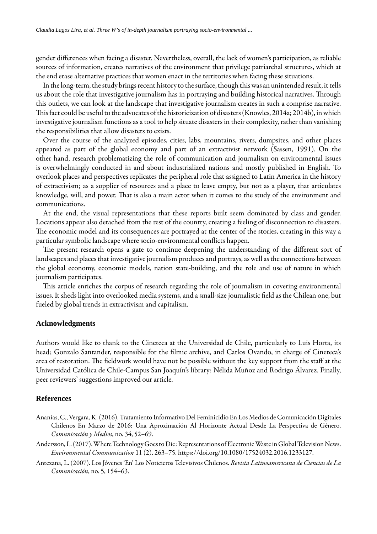gender differences when facing a disaster. Nevertheless, overall, the lack of women's participation, as reliable sources of information, creates narratives of the environment that privilege patriarchal structures, which at the end erase alternative practices that women enact in the territories when facing these situations.

In the long-term, the study brings recent history to the surface, though this was an unintended result, it tells us about the role that investigative journalism has in portraying and building historical narratives. Through this outlets, we can look at the landscape that investigative journalism creates in such a comprise narrative. This fact could be useful to the advocates of the historicization of disasters [\(Knowles, 2014a;](#page-12-10) [2014b\)](#page-12-9), in which investigative journalism functions as a tool to help situate disasters in their complexity, rather than vanishing the responsibilities that allow disasters to exists.

Over the course of the analyzed episodes, cities, labs, mountains, rivers, dumpsites, and other places appeared as part of the global economy and part of an extractivist network ([Sassen, 1991\)](#page-13-20). On the other hand, research problematizing the role of communication and journalism on environmental issues is overwhelmingly conducted in and about industrialized nations and mostly published in English. To overlook places and perspectives replicates the peripheral role that assigned to Latin America in the history of extractivism; as a supplier of resources and a place to leave empty, but not as a player, that articulates knowledge, will, and power. That is also a main actor when it comes to the study of the environment and communications.

At the end, the visual representations that these reports built seem dominated by class and gender. Locations appear also detached from the rest of the country, creating a feeling of disconnection to disasters. The economic model and its consequences are portrayed at the center of the stories, creating in this way a particular symbolic landscape where socio-environmental conflicts happen.

The present research opens a gate to continue deepening the understanding of the different sort of landscapes and places that investigative journalism produces and portrays, as well as the connections between the global economy, economic models, nation state-building, and the role and use of nature in which journalism participates.

This article enriches the corpus of research regarding the role of journalism in covering environmental issues. It sheds light into overlooked media systems, and a small-size journalistic field as the Chilean one, but fueled by global trends in extractivism and capitalism.

#### **Acknowledgments**

Authors would like to thank to the Cineteca at the Universidad de Chile, particularly to Luis Horta, its head; Gonzalo Santander, responsible for the filmic archive, and Carlos Ovando, in charge of Cineteca's area of restoration. The fieldwork would have not be possible without the key support from the staff at the Universidad Católica de Chile-Campus San Joaquín's library: Nélida Muñoz and Rodrigo Álvarez. Finally, peer reviewers' suggestions improved our article.

#### **References**

- <span id="page-10-2"></span>Ananías, C., Vergara, K. (2016). Tratamiento Informativo Del Feminicidio En Los Medios de Comunicación Digitales Chilenos En Marzo de 2016: Una Aproximación Al Horizonte Actual Desde La Perspectiva de Género. *Comunicación y Medios*, no. 34, 52–69.
- <span id="page-10-0"></span>Andersson, L. (2017). Where Technology Goes to Die: Representations of Electronic Waste in Global Television News. *Environmental Communication* 11 (2), 263–75.<https://doi.org/10.1080/17524032.2016.1233127>.
- <span id="page-10-1"></span>Antezana, L. (2007). Los Jóvenes 'En' Los Noticieros Televisivos Chilenos. *Revista Latinoamericana de Ciencias de La Comunicación*, no. 5, 154–63.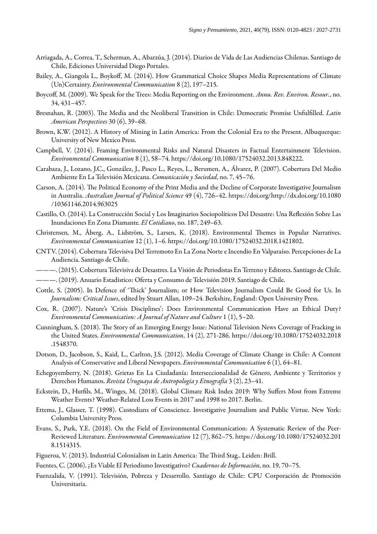- <span id="page-11-18"></span>Arriagada, A., Correa, T., Scherman, A., Abarzúa, J. (2014). Diarios de Vida de Las Audiencias Chilenas. Santiago de Chile, Ediciones Universidad Diego Portales.
- <span id="page-11-9"></span>Bailey, A., Giangola L., Boykoff, M. (2014). How Grammatical Choice Shapes Media Representations of Climate (Un)Certainty. *Environmental Communication* 8 (2), 197–215.
- <span id="page-11-10"></span>Boycoff, M. (2009). We Speak for the Trees: Media Reporting on the Environment. *Annu. Rev. Environ. Resour.*, no. 34, 431–457.
- <span id="page-11-5"></span>Bresnahan, R. (2003). The Media and the Neoliberal Transition in Chile: Democratic Promise Unfulfilled. *Latin American Perspectives* 30 (6), 39–68.
- <span id="page-11-3"></span>Brown, K.W. (2012). A History of Mining in Latin America: From the Colonial Era to the Present. Albuquerque: University of New Mexico Press.
- <span id="page-11-11"></span>Campbell, V. (2014). Framing Environmental Risks and Natural Disasters in Factual Entertainment Television. *Environmental Communication* 8 (1), 58–74. <https://doi.org/10.1080/17524032.2013.848222>.
- <span id="page-11-13"></span>Carabaza, J., Lozano, J.C., González, J., Pasco L., Reyes, L., Berumen, A., Álvarez, P. (2007). Cobertura Del Medio Ambiente En La Televisión Mexicana. *Comunicación y Sociedad*, no. 7, 45–76.
- <span id="page-11-20"></span>Carson, A. (2014). The Political Economy of the Print Media and the Decline of Corporate Investigative Journalism in Australia. *Australian Journal of Political Science* 49 (4), 726–42. [https://doi.org/http://dx.doi.org/10.1080](https://doi.org/http://dx.doi.org/10.1080/10361146.2014.963025) [/10361146.2014.963025](https://doi.org/http://dx.doi.org/10.1080/10361146.2014.963025)
- <span id="page-11-8"></span>Castillo, O. (2014). La Construcción Social y Los Imaginarios Sociopolíticos Del Desastre: Una Reflexión Sobre Las Inundaciones En Zona Diamante. *El Cotidiano*, no. 187, 249–63.
- <span id="page-11-1"></span>Christensen, M., Åberg, A., Lidström, S., Larsen, K. (2018). Environmental Themes in Popular Narratives. *Environmental Communication* 12 (1), 1–6.<https://doi.org/10.1080/17524032.2018.1421802>.
- <span id="page-11-14"></span>CNTV. (2014). Cobertura Televisiva Del Terremoto En La Zona NorteeIncendio En Valparaíso. Percepciones de La Audiencia. Santiago de Chile.
- <span id="page-11-15"></span>———. (2015). Cobertura Televisiva de Desastres. La Visión de Periodistas En Terreno y Editores. Santiago de Chile.
- <span id="page-11-19"></span>———. (2019). Anuario Estadístico: Oferta y Consumo de Televisión 2019. Santiago de Chile.
- <span id="page-11-21"></span>Cottle, S. (2005). In Defence of 'Thick' Journalism; or How Television Journalism Could Be Good for Us. In *Journalism: Critical Issues*, edited by Stuart Allan, 109–24. Berkshire, England: Open University Press.
- <span id="page-11-7"></span>Cox, R. (2007). Nature's 'Crisis Disciplines': Does Environmental Communication Have an Ethical Duty? *Environmental Communication: A Journal of Nature and Culture* 1 (1), 5–20.
- <span id="page-11-12"></span>Cunningham, S. (2018). The Story of an Emerging Energy Issue: National Television News Coverage of Fracking in the United States. *Environmental Communication*, 14 (2), 271-286. [https://doi.org/10.1080/17524032.2018](https://doi.org/10.1080/17524032.2018.1548370) [.1548370](https://doi.org/10.1080/17524032.2018.1548370).
- <span id="page-11-6"></span>Dotson, D., Jacobson, S., Kaid, L., Carlton, J.S. (2012). Media Coverage of Climate Change in Chile: A Content Analysis of Conservative and Liberal Newspapers. *Environmental Communication* 6 (1), 64–81.
- Echegoyemberry, N. (2018). Grietas En La Ciudadanía: Interseccionalidad de Género, Ambiente y Territorios y Derechos Humanos. *Revista Uruguaya de Antropología y Etnografía* 3 (2), 23–41.
- <span id="page-11-2"></span>Eckstein, D., Hutfils, M., Winges, M. (2018). Global Climate Risk Index 2019: Why Suffers Most from Extreme Weather Events? Weather-Related Loss Events in 2017 and 1998 to 2017. Berlin.
- <span id="page-11-16"></span>Ettema, J., Glasser, T. (1998). Custodians of Conscience. Investigative Journalism and Public Virtue. New York: Columbia University Press.
- <span id="page-11-0"></span>Evans, S., Park, Y.E. (2018). On the Field of Environmental Communication: A Systematic Review of the Peer-Reviewed Literature. *Environmental Communication* 12 (7), 862–75. [https://doi.org/10.1080/17524032.201](https://doi.org/10.1080/17524032.2018.1514315) [8.1514315.](https://doi.org/10.1080/17524032.2018.1514315)
- <span id="page-11-4"></span>Figueroa, V. (2013). Industrial Colonialism in Latin America: The Third Stag.. Leiden: Brill.
- <span id="page-11-17"></span>Fuentes, C. (2006). ¿Es Viable El Periodismo Investigativo? *Cuadernos de Información*, no. 19, 70–75.
- Fuenzalida, V. (1991). Televisión, Pobreza y Desarrollo. Santiago de Chile: CPU Corporación de Promoción Universitaria.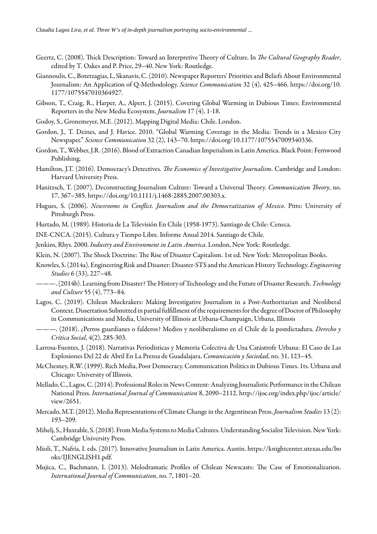- <span id="page-12-22"></span>Geertz, C. (2008). Thick Description: Toward an Interpretive Theory of Culture. In *The Cultural Geography Reader*, edited by T. Oakes and P. Price, 29–40. New York: Routledge.
- <span id="page-12-11"></span>Giannoulis, C., Botetzagias,I., Skanavis, C.(2010). Newspaper Reporters' Prioritiesand Beliefs About Environmental Journalism: An Application of Q-Methodology. *Science Communication* 32 (4), 425–466. [https://doi.org/10.](https://doi.org/10.1177/1075547010364927) [1177/1075547010364927](https://doi.org/10.1177/1075547010364927).
- <span id="page-12-12"></span>Gibson, T., Craig, R., Harper, A., Alpert, J. (2015). Covering Global Warming in Dubious Times: Environmental Reporters in the New Media Ecosystem. *Journalism* 17 (4), 1-18.
- <span id="page-12-8"></span>Godoy, S., Gronemeyer, M.E. (2012). Mapping Digital Media: Chile. London.
- <span id="page-12-13"></span>Gordon, J., T. Deines, and J. Havice. 2010. "Global Warming Coverage in the Media: Trends in a Mexico City Newspaper." *Science Communication* 32 (2), 143–70. <https://doi.org/10.1177/1075547009340336>.
- <span id="page-12-1"></span>Gordon,T.,Webber,J.R.(2016). Blood of Extraction Canadian Imperialism in LatinAmerica. Black Point: Fernwood Publishing.
- <span id="page-12-16"></span>Hamilton, J.T. (2016). Democracy's Detectives. The Economics of Investigative Journalism. Cambridge and London: Harvard University Press.
- <span id="page-12-21"></span>Hanitzsch, T. (2007). Deconstructing Journalism Culture: Toward a Universal Theory. *Communication Theory*, no. 17, 367–385. [https://doi.org/10.1111/j.1468-2885.2007.00303.x.](https://doi.org/10.1111/j.1468-2885.2007.00303.x)
- <span id="page-12-19"></span>Hugues, S. (2006). *Newsrooms in Conflict. Journalism and the Democratization of Mexico*. Pitts: University of Pittsburgh Press.
- <span id="page-12-4"></span>Hurtado, M. (1989). Historia de La Televisión En Chile (1958-1973). Santiago de Chile: Ceneca.
- <span id="page-12-7"></span>INE-CNCA. (2015). Cultura y Tiempo Libre. Informe Anual 2014. Santiago de Chile.

<span id="page-12-0"></span>Jenkins, Rhys. 2000. *Industry and Environment in Latin America*. London, New York: Routledge.

<span id="page-12-2"></span>Klein, N. (2007). The Shock Doctrine: The Rise of Disaster Capitalism. 1st ed. New York: Metropolitan Books.

- <span id="page-12-10"></span>Knowles, S.(2014a). EngineeringRisk and Disaster: Disaster-STS and theAmerican HistoryTechnology. *Engineering Studies* 6 (33), 227–48.
- <span id="page-12-9"></span>———. (2014b). Learning from Disaster? The History of Technology and the Future of Disaster Research. Technology *and Culture* 55 (4), 773–84.
- <span id="page-12-5"></span>Lagos, C. (2019). Chilean Muckrakers: Making Investigative Journalism in a Post-Authoritarian and Neoliberal Context. Dissertation Submitted in partial fulfillment of the requirements for the degree of Doctor of Philosophy in Communications and Media, University of Illinois at Urbana-Champaign, Urbana, Illinois
- <span id="page-12-6"></span>———. (2018). ¿Perros guardianes o falderos? Medios y neoliberalismo en el Chile de la postdictadura. *Derecho y Crítica Social*, 4(2), 285-303.
- <span id="page-12-14"></span>Larrosa-Fuentes, J. (2018). Narrativas Periodísticas y Memoria Colectiva de Una Catástrofe Urbana: El Caso de Las Explosiones Del 22 de Abril En La Prensa de Guadalajara. *Comunicación y Sociedad*, no. 31, 123–45.
- <span id="page-12-3"></span>McChesney, R.W. (1999). Rich Media, Poor Democracy. Communication Politics in Dubious Times. 1ts. Urbana and Chicago: University of Illinois.
- <span id="page-12-20"></span>Mellado, C., Lagos, C. (2014). Professional Roles in News Content: Analyzing Journalistic Performance in the Chilean National Press. *International Journal of Communication* 8, 2090–2112. [http://ijoc.org/index.php/ijoc/article/](http://ijoc.org/index.php/ijoc/article/view/2651) [view/2651.](http://ijoc.org/index.php/ijoc/article/view/2651)
- <span id="page-12-15"></span>Mercado, M.T. (2012). Media Representations of Climate Change in the Argentinean Press. *Journalism Studies* 13 (2): 193–209.
- <span id="page-12-23"></span>Mihelj, S., Huxtable, S. (2018). From Media Systems to Media Cultures. Understanding Socialist Television. New York: Cambridge University Press.
- <span id="page-12-17"></span>Mioli, T., Nafría, I. eds. (2017). Innovative Journalism in Latin America. Austin. [https://knightcenter.utexas.edu/bo](https://knightcenter.utexas.edu/books/IJENGLISH1.pdf) [oks/IJENGLISH1.pdf](https://knightcenter.utexas.edu/books/IJENGLISH1.pdf).
- <span id="page-12-18"></span>Mujica, C., Bachmann, I. (2013). Melodramatic Profiles of Chilean Newscasts: The Case of Emotionalization. *International Journal of Communication*, no. 7, 1801–20.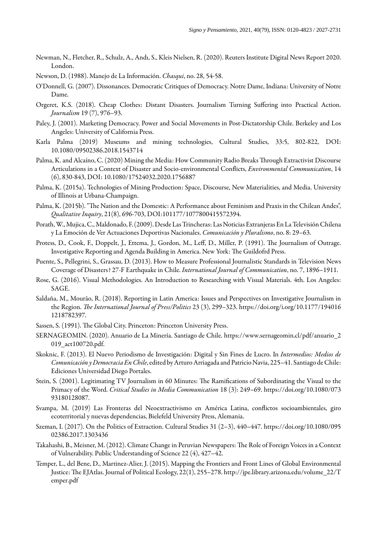- <span id="page-13-13"></span>Newman, N., Fletcher, R., Schulz, A., Andı, S., Kleis Nielsen, R. (2020). Reuters Institute Digital News Report 2020. London.
- <span id="page-13-7"></span>Newson, D. (1988). Manejo de La Información. *Chasqui*, no. 28, 54-58.
- <span id="page-13-10"></span>O'Donnell, G. (2007). Dissonances. Democratic Critiques of Democracy. Notre Dame, Indiana: University of Notre Dame.
- <span id="page-13-5"></span>Orgeret, K.S. (2018). Cheap Clothes: Distant Disasters. Journalism Turning Suffering into Practical Action. *Journalism* 19 (7), 976–93.
- <span id="page-13-3"></span>Paley, J. (2001). Marketing Democracy. Power and Social Movements in Post-Dictatorship Chile. Berkeley and Los Angeles: University of California Press.
- <span id="page-13-18"></span>Karla Palma (2019) Museums and mining technologies, Cultural Studies, 33:5, 802-822, DOI: 10.1080/09502386.2018.1543714
- <span id="page-13-4"></span>Palma, K. and Alcaíno, C. (2020) Mining the Media: How Community Radio Breaks Through Extractivist Discourse Articulations in a Context of Disaster and Socio-environmental Conflicts, *Environmental Communication*, 14 (6), 830-843, DOI: 10.1080/17524032.2020.1756887
- Palma, K. (2015a). Technologies of Mining Production: Space, Discourse, New Materialities, and Media. University of Illinois at Urbana-Champaign.
- <span id="page-13-19"></span>Palma, K. (2015b). "The Nation and the Domestic: A Performance about Feminism and Praxis in the Chilean Andes", *Qualitative Inquiry*, 21(8), 696-703, DOI:101177/1077800415572394.
- <span id="page-13-15"></span>Porath, W., Mujica, C., Maldonado, F. (2009). Desde Las Trincheras: Las Noticias Extranjeras En La Televisión Chilena y La Emoción de Ver Actuaciones Deportivas Nacionales. *Comunicación y Pluralismo*, no. 8: 29–63.
- <span id="page-13-16"></span>Protess, D., Cook, F., Doppelt, J., Ettema, J., Gordon, M., Leff, D., Miller, P. (1991). The Journalism of Outrage. Investigative Reporting and Agenda Building in America. New York: The Guildofrd Press.
- <span id="page-13-8"></span>Puente, S., Pellegrini, S., Grassau, D. (2013). How to Measure Professional Journalistic Standards in Television News Coverage of Disasters? 27-F Earthquake in Chile. *International Journal of Communication*, no. 7, 1896–1911.
- <span id="page-13-14"></span>Rose, G. (2016). Visual Methodologies. An Introduction to Researching with Visual Materials. 4th. Los Angeles: SAGE.
- <span id="page-13-12"></span>Saldaña, M., Mourão, R. (2018). Reporting in Latin America: Issues and Perspectives on Investigative Journalism in the Region. *The International Journal of Press/Politics* 23 (3), 299-323. [https://doi.org/i.org/10.1177/194016](https://doi.org/i.org/10.1177/1940161218782397) [1218782397](https://doi.org/i.org/10.1177/1940161218782397).
- <span id="page-13-20"></span>Sassen, S. (1991). The Global City. Princeton: Princeton University Press.
- <span id="page-13-2"></span>SERNAGEOMIN. (2020). Anuario de La Minería. Santiago de Chile. [https://www.sernageomin.cl/pdf/anuario\\_2](https://www.sernageomin.cl/pdf/anuario_2019_act100720.pdf) [019\\_act100720.pdf](https://www.sernageomin.cl/pdf/anuario_2019_act100720.pdf).
- <span id="page-13-11"></span>Skoknic, F. (2013). El Nuevo Periodismo de Investigación: Digital y Sin Fines de Lucro. In *Intermedios: Medios de Comunicación y Democracia En Chile*, edited by Arturo Arriagada and Patricio Navia, 225-41. Santiago de Chile: Ediciones Universidad Diego Portales.
- <span id="page-13-9"></span>Stein, S. (2001). Legitimating TV Journalism in 60 Minutes: The Ramifications of Subordinating the Visual to the Primacy of the Word. *Critical Studies in Media Communication* 18 (3): 249–69. [https://doi.org/10.1080/073](https://doi.org/10.1080/07393180128087) [93180128087.](https://doi.org/10.1080/07393180128087)
- <span id="page-13-1"></span>Svampa, M. (2019) Las Fronteras del Neoextractivismo en América Latina, conflictos socioambientales, giro ecoterritorial y nuevas dependencias, Bielefeld University Press, Alemania.
- <span id="page-13-17"></span>Szeman, I. (2017). On the Politics of Extraction. Cultural Studies 31 (2–3), 440–447. [https://doi.org/10.1080/095](https://doi.org/10.1080/09502386.2017.1303436) [02386.2017.1303436](https://doi.org/10.1080/09502386.2017.1303436)
- <span id="page-13-6"></span>Takahashi, B., Meisner, M. (2012). Climate Change in Peruvian Newspapers: The Role of Foreign Voices in a Context of Vulnerability. Public Understanding of Science 22 (4), 427–42.
- <span id="page-13-0"></span>Temper, L., del Bene, D., Martinez-Alier, J. (2015). Mapping the Frontiers and Front Lines of Global Environmental Justice: The EJAtlas. Journal of Political Ecology, 22(1), 255-278. [http://jpe.library.arizona.edu/volume\\_22/T](http://jpe.library.arizona.edu/volume_22/Temper.pdf) [emper.pdf](http://jpe.library.arizona.edu/volume_22/Temper.pdf)